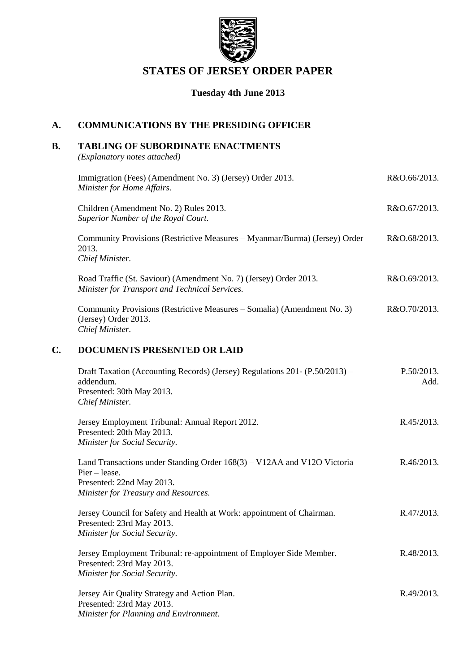

# **STATES OF JERSEY ORDER PAPER**

## **Tuesday 4th June 2013**

## **A. COMMUNICATIONS BY THE PRESIDING OFFICER**

## **B. TABLING OF SUBORDINATE ENACTMENTS**

*(Explanatory notes attached)*

|    | Immigration (Fees) (Amendment No. 3) (Jersey) Order 2013.<br>Minister for Home Affairs.                                                                         | R&O.66/2013.       |
|----|-----------------------------------------------------------------------------------------------------------------------------------------------------------------|--------------------|
|    | Children (Amendment No. 2) Rules 2013.<br>Superior Number of the Royal Court.                                                                                   | R&O.67/2013.       |
|    | Community Provisions (Restrictive Measures - Myanmar/Burma) (Jersey) Order<br>2013.<br>Chief Minister.                                                          | R&O.68/2013.       |
|    | Road Traffic (St. Saviour) (Amendment No. 7) (Jersey) Order 2013.<br>Minister for Transport and Technical Services.                                             | R&O.69/2013.       |
|    | Community Provisions (Restrictive Measures – Somalia) (Amendment No. 3)<br>(Jersey) Order 2013.<br>Chief Minister.                                              | R&O.70/2013.       |
| C. | <b>DOCUMENTS PRESENTED OR LAID</b>                                                                                                                              |                    |
|    | Draft Taxation (Accounting Records) (Jersey) Regulations 201- (P.50/2013) –<br>addendum.<br>Presented: 30th May 2013.<br>Chief Minister.                        | P.50/2013.<br>Add. |
|    | Jersey Employment Tribunal: Annual Report 2012.<br>Presented: 20th May 2013.<br>Minister for Social Security.                                                   | R.45/2013.         |
|    | Land Transactions under Standing Order 168(3) – V12AA and V12O Victoria<br>$Pier - lease.$<br>Presented: 22nd May 2013.<br>Minister for Treasury and Resources. | R.46/2013.         |
|    | Jersey Council for Safety and Health at Work: appointment of Chairman.<br>Presented: 23rd May 2013.<br>Minister for Social Security.                            | R.47/2013.         |
|    | Jersey Employment Tribunal: re-appointment of Employer Side Member.<br>Presented: 23rd May 2013.<br>Minister for Social Security.                               | R.48/2013.         |
|    | Jersey Air Quality Strategy and Action Plan.<br>Presented: 23rd May 2013.<br>Minister for Planning and Environment.                                             | R.49/2013.         |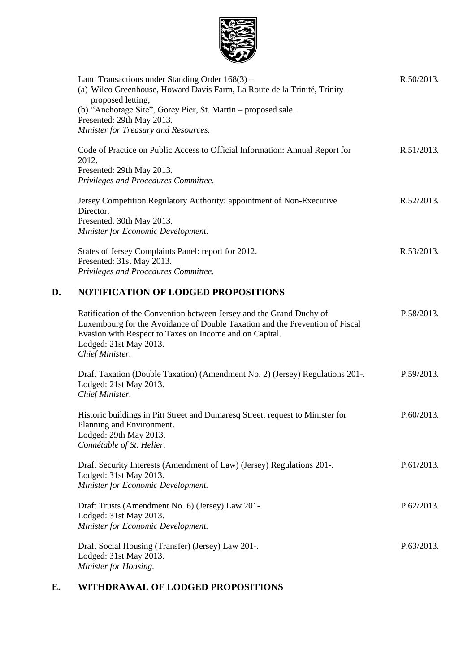

|    | Land Transactions under Standing Order $168(3)$ –<br>(a) Wilco Greenhouse, Howard Davis Farm, La Route de la Trinité, Trinity -<br>proposed letting;<br>(b) "Anchorage Site", Gorey Pier, St. Martin - proposed sale.<br>Presented: 29th May 2013.<br>Minister for Treasury and Resources. | R.50/2013. |
|----|--------------------------------------------------------------------------------------------------------------------------------------------------------------------------------------------------------------------------------------------------------------------------------------------|------------|
|    | Code of Practice on Public Access to Official Information: Annual Report for<br>2012.<br>Presented: 29th May 2013.<br>Privileges and Procedures Committee.                                                                                                                                 | R.51/2013. |
|    | Jersey Competition Regulatory Authority: appointment of Non-Executive<br>Director.<br>Presented: 30th May 2013.<br>Minister for Economic Development.                                                                                                                                      | R.52/2013. |
|    | States of Jersey Complaints Panel: report for 2012.<br>Presented: 31st May 2013.<br>Privileges and Procedures Committee.                                                                                                                                                                   | R.53/2013. |
| D. | <b>NOTIFICATION OF LODGED PROPOSITIONS</b>                                                                                                                                                                                                                                                 |            |
|    | Ratification of the Convention between Jersey and the Grand Duchy of<br>Luxembourg for the Avoidance of Double Taxation and the Prevention of Fiscal<br>Evasion with Respect to Taxes on Income and on Capital.<br>Lodged: 21st May 2013.<br>Chief Minister.                               | P.58/2013. |
|    | Draft Taxation (Double Taxation) (Amendment No. 2) (Jersey) Regulations 201-.<br>Lodged: 21st May 2013.<br>Chief Minister.                                                                                                                                                                 | P.59/2013. |
|    | Historic buildings in Pitt Street and Dumaresq Street: request to Minister for<br>Planning and Environment.<br>Lodged: 29th May 2013.<br>Connétable of St. Helier.                                                                                                                         | P.60/2013. |
|    | Draft Security Interests (Amendment of Law) (Jersey) Regulations 201-.<br>Lodged: 31st May 2013.<br>Minister for Economic Development.                                                                                                                                                     | P.61/2013. |
|    | Draft Trusts (Amendment No. 6) (Jersey) Law 201-.<br>Lodged: 31st May 2013.<br>Minister for Economic Development.                                                                                                                                                                          | P.62/2013. |
|    | Draft Social Housing (Transfer) (Jersey) Law 201-.                                                                                                                                                                                                                                         | P.63/2013. |

Draft Social Housing (Transfer) (Jersey) Law 201-. Lodged: 31st May 2013. *Minister for Housing.*

# **E. WITHDRAWAL OF LODGED PROPOSITIONS**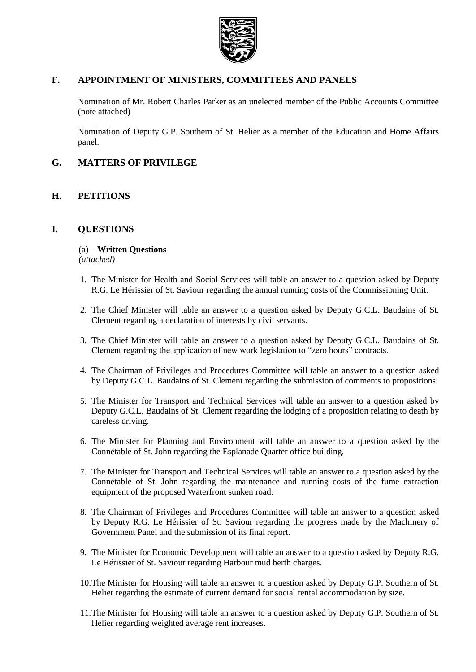

## **F. APPOINTMENT OF MINISTERS, COMMITTEES AND PANELS**

Nomination of Mr. Robert Charles Parker as an unelected member of the Public Accounts Committee (note attached)

Nomination of Deputy G.P. Southern of St. Helier as a member of the Education and Home Affairs panel.

## **G. MATTERS OF PRIVILEGE**

## **H. PETITIONS**

## **I. QUESTIONS**

(a) – **Written Questions** *(attached)*

- 1. The Minister for Health and Social Services will table an answer to a question asked by Deputy R.G. Le Hérissier of St. Saviour regarding the annual running costs of the Commissioning Unit.
- 2. The Chief Minister will table an answer to a question asked by Deputy G.C.L. Baudains of St. Clement regarding a declaration of interests by civil servants.
- 3. The Chief Minister will table an answer to a question asked by Deputy G.C.L. Baudains of St. Clement regarding the application of new work legislation to "zero hours" contracts.
- 4. The Chairman of Privileges and Procedures Committee will table an answer to a question asked by Deputy G.C.L. Baudains of St. Clement regarding the submission of comments to propositions.
- 5. The Minister for Transport and Technical Services will table an answer to a question asked by Deputy G.C.L. Baudains of St. Clement regarding the lodging of a proposition relating to death by careless driving.
- 6. The Minister for Planning and Environment will table an answer to a question asked by the Connétable of St. John regarding the Esplanade Quarter office building.
- 7. The Minister for Transport and Technical Services will table an answer to a question asked by the Connétable of St. John regarding the maintenance and running costs of the fume extraction equipment of the proposed Waterfront sunken road.
- 8. The Chairman of Privileges and Procedures Committee will table an answer to a question asked by Deputy R.G. Le Hérissier of St. Saviour regarding the progress made by the Machinery of Government Panel and the submission of its final report.
- 9. The Minister for Economic Development will table an answer to a question asked by Deputy R.G. Le Hérissier of St. Saviour regarding Harbour mud berth charges.
- 10.The Minister for Housing will table an answer to a question asked by Deputy G.P. Southern of St. Helier regarding the estimate of current demand for social rental accommodation by size.
- 11.The Minister for Housing will table an answer to a question asked by Deputy G.P. Southern of St. Helier regarding weighted average rent increases.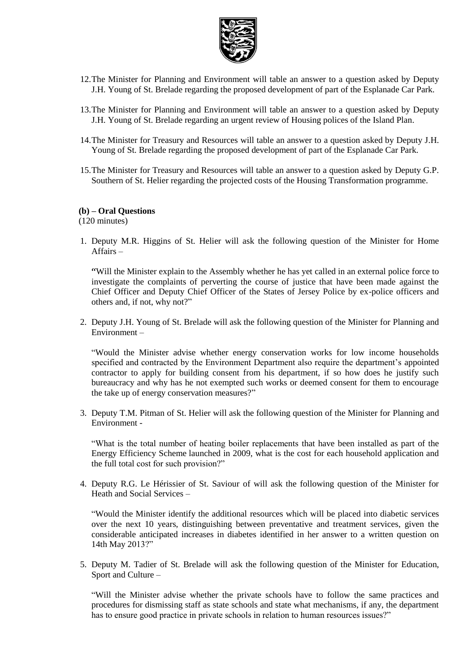

- 12.The Minister for Planning and Environment will table an answer to a question asked by Deputy J.H. Young of St. Brelade regarding the proposed development of part of the Esplanade Car Park.
- 13.The Minister for Planning and Environment will table an answer to a question asked by Deputy J.H. Young of St. Brelade regarding an urgent review of Housing polices of the Island Plan.
- 14.The Minister for Treasury and Resources will table an answer to a question asked by Deputy J.H. Young of St. Brelade regarding the proposed development of part of the Esplanade Car Park.
- 15.The Minister for Treasury and Resources will table an answer to a question asked by Deputy G.P. Southern of St. Helier regarding the projected costs of the Housing Transformation programme.

#### **(b) – Oral Questions**

(120 minutes)

1. Deputy M.R. Higgins of St. Helier will ask the following question of the Minister for Home Affairs –

"Will the Minister explain to the Assembly whether he has yet called in an external police force to investigate the complaints of perverting the course of justice that have been made against the Chief Officer and Deputy Chief Officer of the States of Jersey Police by ex-police officers and others and, if not, why not?"

2. Deputy J.H. Young of St. Brelade will ask the following question of the Minister for Planning and Environment –

"Would the Minister advise whether energy conservation works for low income households specified and contracted by the Environment Department also require the department's appointed contractor to apply for building consent from his department, if so how does he justify such bureaucracy and why has he not exempted such works or deemed consent for them to encourage the take up of energy conservation measures?"

3. Deputy T.M. Pitman of St. Helier will ask the following question of the Minister for Planning and Environment -

"What is the total number of heating boiler replacements that have been installed as part of the Energy Efficiency Scheme launched in 2009, what is the cost for each household application and the full total cost for such provision?"

4. Deputy R.G. Le Hérissier of St. Saviour of will ask the following question of the Minister for Heath and Social Services –

"Would the Minister identify the additional resources which will be placed into diabetic services over the next 10 years, distinguishing between preventative and treatment services, given the considerable anticipated increases in diabetes identified in her answer to a written question on 14th May 2013?"

5. Deputy M. Tadier of St. Brelade will ask the following question of the Minister for Education, Sport and Culture –

"Will the Minister advise whether the private schools have to follow the same practices and procedures for dismissing staff as state schools and state what mechanisms, if any, the department has to ensure good practice in private schools in relation to human resources issues?"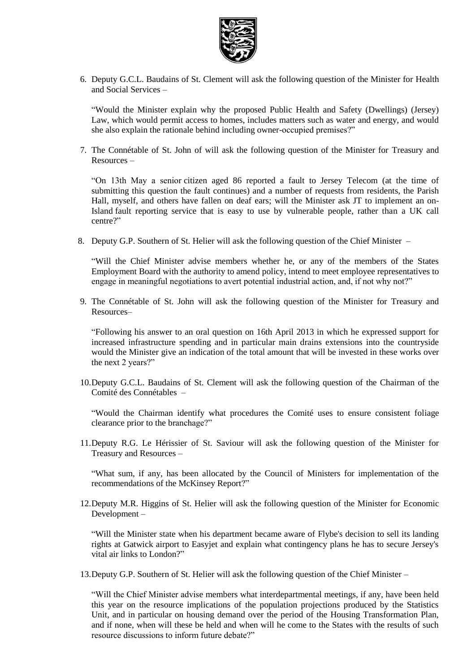

6. Deputy G.C.L. Baudains of St. Clement will ask the following question of the Minister for Health and Social Services –

"Would the Minister explain why the proposed Public Health and Safety (Dwellings) (Jersey) Law, which would permit access to homes, includes matters such as water and energy, and would she also explain the rationale behind including owner-occupied premises?"

7. The Connétable of St. John of will ask the following question of the Minister for Treasury and Resources –

"On 13th May a senior citizen aged 86 reported a fault to Jersey Telecom (at the time of submitting this question the fault continues) and a number of requests from residents, the Parish Hall, myself, and others have fallen on deaf ears; will the Minister ask JT to implement an on-Island fault reporting service that is easy to use by vulnerable people, rather than a UK call centre?"

8. Deputy G.P. Southern of St. Helier will ask the following question of the Chief Minister –

"Will the Chief Minister advise members whether he, or any of the members of the States Employment Board with the authority to amend policy, intend to meet employee representatives to engage in meaningful negotiations to avert potential industrial action, and, if not why not?"

9. The Connétable of St. John will ask the following question of the Minister for Treasury and Resources–

"Following his answer to an oral question on 16th April 2013 in which he expressed support for increased infrastructure spending and in particular main drains extensions into the countryside would the Minister give an indication of the total amount that will be invested in these works over the next 2 years?"

10.Deputy G.C.L. Baudains of St. Clement will ask the following question of the Chairman of the Comité des Connétables –

"Would the Chairman identify what procedures the Comité uses to ensure consistent foliage clearance prior to the branchage?"

11.Deputy R.G. Le Hérissier of St. Saviour will ask the following question of the Minister for Treasury and Resources –

"What sum, if any, has been allocated by the Council of Ministers for implementation of the recommendations of the McKinsey Report?"

12.Deputy M.R. Higgins of St. Helier will ask the following question of the Minister for Economic Development –

"Will the Minister state when his department became aware of Flybe's decision to sell its landing rights at Gatwick airport to Easyjet and explain what contingency plans he has to secure Jersey's vital air links to London?"

13.Deputy G.P. Southern of St. Helier will ask the following question of the Chief Minister –

"Will the Chief Minister advise members what interdepartmental meetings, if any, have been held this year on the resource implications of the population projections produced by the Statistics Unit, and in particular on housing demand over the period of the Housing Transformation Plan, and if none, when will these be held and when will he come to the States with the results of such resource discussions to inform future debate?"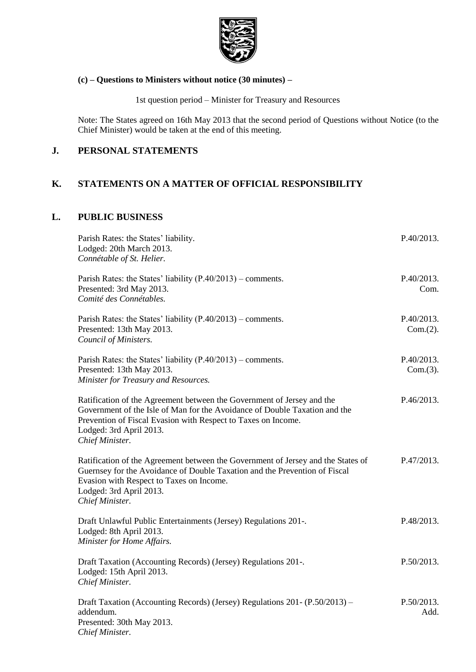

## **(c) – Questions to Ministers without notice (30 minutes) –**

1st question period – Minister for Treasury and Resources

Note: The States agreed on 16th May 2013 that the second period of Questions without Notice (to the Chief Minister) would be taken at the end of this meeting.

## **J. PERSONAL STATEMENTS**

## **K. STATEMENTS ON A MATTER OF OFFICIAL RESPONSIBILITY**

## **L. PUBLIC BUSINESS**

| Parish Rates: the States' liability.<br>Lodged: 20th March 2013.<br>Connétable of St. Helier.                                                                                                                                                                       | P.40/2013.             |
|---------------------------------------------------------------------------------------------------------------------------------------------------------------------------------------------------------------------------------------------------------------------|------------------------|
| Parish Rates: the States' liability $(P.40/2013)$ – comments.<br>Presented: 3rd May 2013.<br>Comité des Connétables.                                                                                                                                                | P.40/2013.<br>Com.     |
| Parish Rates: the States' liability $(P.40/2013)$ – comments.<br>Presented: 13th May 2013.<br>Council of Ministers.                                                                                                                                                 | P.40/2013.<br>Com.(2). |
| Parish Rates: the States' liability $(P.40/2013)$ – comments.<br>Presented: 13th May 2013.<br>Minister for Treasury and Resources.                                                                                                                                  | P.40/2013.<br>Com.(3). |
| Ratification of the Agreement between the Government of Jersey and the<br>Government of the Isle of Man for the Avoidance of Double Taxation and the<br>Prevention of Fiscal Evasion with Respect to Taxes on Income.<br>Lodged: 3rd April 2013.<br>Chief Minister. | P.46/2013.             |
| Ratification of the Agreement between the Government of Jersey and the States of<br>Guernsey for the Avoidance of Double Taxation and the Prevention of Fiscal<br>Evasion with Respect to Taxes on Income.<br>Lodged: 3rd April 2013.<br>Chief Minister.            | P.47/2013.             |
| Draft Unlawful Public Entertainments (Jersey) Regulations 201-.<br>Lodged: 8th April 2013.<br>Minister for Home Affairs.                                                                                                                                            | P.48/2013.             |
| Draft Taxation (Accounting Records) (Jersey) Regulations 201-.<br>Lodged: 15th April 2013.<br>Chief Minister.                                                                                                                                                       | P.50/2013.             |
| Draft Taxation (Accounting Records) (Jersey) Regulations 201- (P.50/2013) -<br>addendum.<br>Presented: 30th May 2013.<br>Chief Minister.                                                                                                                            | P.50/2013.<br>Add.     |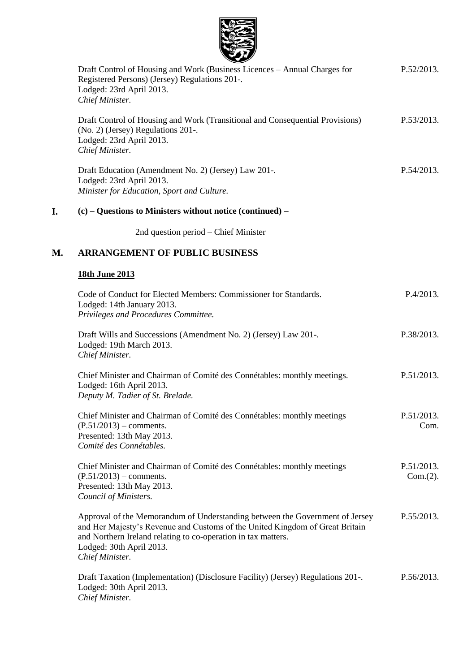

|    | Draft Control of Housing and Work (Business Licences – Annual Charges for<br>Registered Persons) (Jersey) Regulations 201-.<br>Lodged: 23rd April 2013.<br>Chief Minister.                                                                                                   | P.52/2013.             |
|----|------------------------------------------------------------------------------------------------------------------------------------------------------------------------------------------------------------------------------------------------------------------------------|------------------------|
|    | Draft Control of Housing and Work (Transitional and Consequential Provisions)<br>(No. 2) (Jersey) Regulations 201-.<br>Lodged: 23rd April 2013.<br>Chief Minister.                                                                                                           | P.53/2013.             |
|    | Draft Education (Amendment No. 2) (Jersey) Law 201-.<br>Lodged: 23rd April 2013.<br>Minister for Education, Sport and Culture.                                                                                                                                               | P.54/2013.             |
| I. | $(c)$ – Questions to Ministers without notice (continued) –                                                                                                                                                                                                                  |                        |
|    | 2nd question period – Chief Minister                                                                                                                                                                                                                                         |                        |
| М. | <b>ARRANGEMENT OF PUBLIC BUSINESS</b>                                                                                                                                                                                                                                        |                        |
|    | 18th June 2013                                                                                                                                                                                                                                                               |                        |
|    | Code of Conduct for Elected Members: Commissioner for Standards.<br>Lodged: 14th January 2013.<br>Privileges and Procedures Committee.                                                                                                                                       | P.4/2013.              |
|    | Draft Wills and Successions (Amendment No. 2) (Jersey) Law 201-.<br>Lodged: 19th March 2013.<br>Chief Minister.                                                                                                                                                              | P.38/2013.             |
|    | Chief Minister and Chairman of Comité des Connétables: monthly meetings.<br>Lodged: 16th April 2013.<br>Deputy M. Tadier of St. Brelade.                                                                                                                                     | P.51/2013.             |
|    | Chief Minister and Chairman of Comité des Connétables: monthly meetings<br>$(P.51/2013)$ – comments.<br>Presented: 13th May 2013.<br>Comité des Connétables.                                                                                                                 | P.51/2013.<br>Com.     |
|    | Chief Minister and Chairman of Comité des Connétables: monthly meetings<br>$(P.51/2013)$ – comments.<br>Presented: 13th May 2013.<br>Council of Ministers.                                                                                                                   | P.51/2013.<br>Com.(2). |
|    | Approval of the Memorandum of Understanding between the Government of Jersey<br>and Her Majesty's Revenue and Customs of the United Kingdom of Great Britain<br>and Northern Ireland relating to co-operation in tax matters.<br>Lodged: 30th April 2013.<br>Chief Minister. | P.55/2013.             |
|    | Draft Taxation (Implementation) (Disclosure Facility) (Jersey) Regulations 201-.<br>Lodged: 30th April 2013.                                                                                                                                                                 | P.56/2013.             |

*Chief Minister.*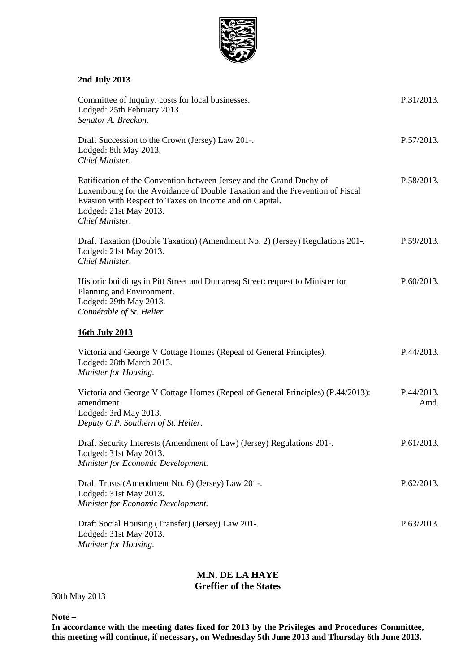

#### **2nd July 2013**

| Committee of Inquiry: costs for local businesses.<br>Lodged: 25th February 2013.<br>Senator A. Breckon.                                                                                                                                                      | P.31/2013.         |
|--------------------------------------------------------------------------------------------------------------------------------------------------------------------------------------------------------------------------------------------------------------|--------------------|
| Draft Succession to the Crown (Jersey) Law 201-.<br>Lodged: 8th May 2013.<br>Chief Minister.                                                                                                                                                                 | P.57/2013.         |
| Ratification of the Convention between Jersey and the Grand Duchy of<br>Luxembourg for the Avoidance of Double Taxation and the Prevention of Fiscal<br>Evasion with Respect to Taxes on Income and on Capital.<br>Lodged: 21st May 2013.<br>Chief Minister. | P.58/2013.         |
| Draft Taxation (Double Taxation) (Amendment No. 2) (Jersey) Regulations 201-.<br>Lodged: 21st May 2013.<br>Chief Minister.                                                                                                                                   | P.59/2013.         |
| Historic buildings in Pitt Street and Dumaresq Street: request to Minister for<br>Planning and Environment.<br>Lodged: 29th May 2013.<br>Connétable of St. Helier.                                                                                           | P.60/2013.         |
| 16th July 2013                                                                                                                                                                                                                                               |                    |
| Victoria and George V Cottage Homes (Repeal of General Principles).<br>Lodged: 28th March 2013.<br>Minister for Housing.                                                                                                                                     | P.44/2013.         |
| Victoria and George V Cottage Homes (Repeal of General Principles) (P.44/2013):<br>amendment.<br>Lodged: 3rd May 2013.<br>Deputy G.P. Southern of St. Helier.                                                                                                | P.44/2013.<br>Amd. |
| Draft Security Interests (Amendment of Law) (Jersey) Regulations 201-.<br>Lodged: 31st May 2013.<br>Minister for Economic Development.                                                                                                                       | P.61/2013.         |
| Draft Trusts (Amendment No. 6) (Jersey) Law 201-.<br>Lodged: 31st May 2013.<br>Minister for Economic Development.                                                                                                                                            | P.62/2013.         |
| Draft Social Housing (Transfer) (Jersey) Law 201-.<br>Lodged: 31st May 2013.<br>Minister for Housing.                                                                                                                                                        | P.63/2013.         |

# **M.N. DE LA HAYE**

# **Greffier of the States**

```
30th May 2013
```
**Note –**

**In accordance with the meeting dates fixed for 2013 by the Privileges and Procedures Committee, this meeting will continue, if necessary, on Wednesday 5th June 2013 and Thursday 6th June 2013.**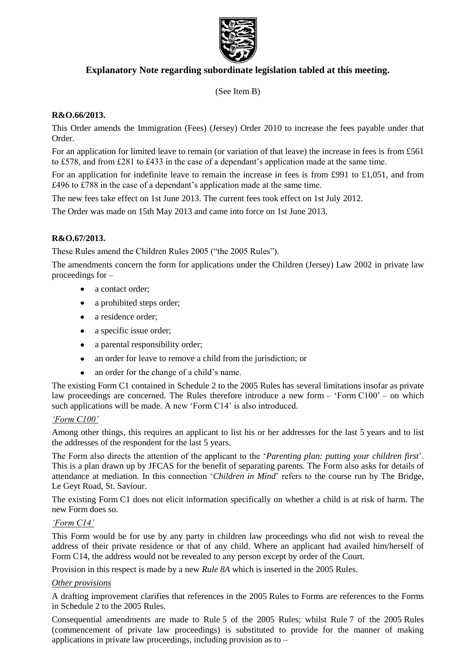

## **Explanatory Note regarding subordinate legislation tabled at this meeting.**

(See Item B)

## **R&O.66/2013.**

This Order amends the Immigration (Fees) (Jersey) Order 2010 to increase the fees payable under that Order.

For an application for limited leave to remain (or variation of that leave) the increase in fees is from £561 to £578, and from £281 to £433 in the case of a dependant's application made at the same time.

For an application for indefinite leave to remain the increase in fees is from £991 to £1,051, and from £496 to £788 in the case of a dependant's application made at the same time.

The new fees take effect on 1st June 2013. The current fees took effect on 1st July 2012.

The Order was made on 15th May 2013 and came into force on 1st June 2013.

## **R&O.67/2013.**

These Rules amend the Children Rules 2005 ("the 2005 Rules").

The amendments concern the form for applications under the Children (Jersey) Law 2002 in private law proceedings for –

- a contact order;
- a prohibited steps order;  $\bullet$
- a residence order;  $\bullet$
- a specific issue order;
- a parental responsibility order;
- an order for leave to remove a child from the jurisdiction; or
- an order for the change of a child's name.

The existing Form C1 contained in Schedule 2 to the 2005 Rules has several limitations insofar as private law proceedings are concerned. The Rules therefore introduce a new form – 'Form C100' – on which such applications will be made. A new 'Form C14' is also introduced.

## *'Form C100'*

Among other things, this requires an applicant to list his or her addresses for the last 5 years and to list the addresses of the respondent for the last 5 years.

The Form also directs the attention of the applicant to the '*Parenting plan: putting your children first*'. This is a plan drawn up by JFCAS for the benefit of separating parents. The Form also asks for details of attendance at mediation. In this connection '*Children in Mind*' refers to the course run by The Bridge, Le Geyt Road, St. Saviour.

The existing Form C1 does not elicit information specifically on whether a child is at risk of harm. The new Form does so.

#### *'Form C14'*

This Form would be for use by any party in children law proceedings who did not wish to reveal the address of their private residence or that of any child. Where an applicant had availed him/herself of Form C14, the address would not be revealed to any person except by order of the Court.

Provision in this respect is made by a new *Rule 8A* which is inserted in the 2005 Rules.

#### *Other provisions*

A drafting improvement clarifies that references in the 2005 Rules to Forms are references to the Forms in Schedule 2 to the 2005 Rules.

Consequential amendments are made to Rule 5 of the 2005 Rules; whilst Rule 7 of the 2005 Rules (commencement of private law proceedings) is substituted to provide for the manner of making applications in private law proceedings, including provision as to –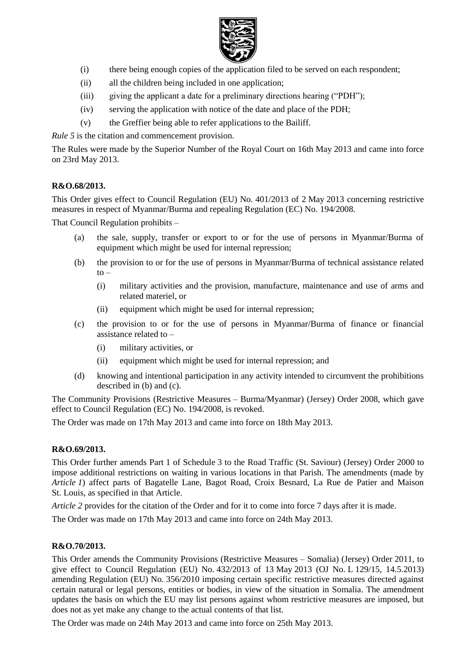

- (i) there being enough copies of the application filed to be served on each respondent;
- (ii) all the children being included in one application;
- (iii) giving the applicant a date for a preliminary directions hearing ("PDH");
- (iv) serving the application with notice of the date and place of the PDH;
- (v) the Greffier being able to refer applications to the Bailiff.

*Rule* 5 is the citation and commencement provision.

The Rules were made by the Superior Number of the Royal Court on 16th May 2013 and came into force on 23rd May 2013.

## **R&O.68/2013.**

This Order gives effect to Council Regulation (EU) No. 401/2013 of 2 May 2013 concerning restrictive measures in respect of Myanmar/Burma and repealing Regulation (EC) No. 194/2008.

That Council Regulation prohibits –

- (a) the sale, supply, transfer or export to or for the use of persons in Myanmar/Burma of equipment which might be used for internal repression;
- (b) the provision to or for the use of persons in Myanmar/Burma of technical assistance related  $to -$ 
	- (i) military activities and the provision, manufacture, maintenance and use of arms and related materiel, or
	- (ii) equipment which might be used for internal repression;
- (c) the provision to or for the use of persons in Myanmar/Burma of finance or financial assistance related to –
	- (i) military activities, or
	- (ii) equipment which might be used for internal repression; and
- (d) knowing and intentional participation in any activity intended to circumvent the prohibitions described in (b) and (c).

The Community Provisions (Restrictive Measures – Burma/Myanmar) (Jersey) Order 2008, which gave effect to Council Regulation (EC) No. 194/2008, is revoked.

The Order was made on 17th May 2013 and came into force on 18th May 2013.

#### **R&O.69/2013.**

This Order further amends Part 1 of Schedule 3 to the Road Traffic (St. Saviour) (Jersey) Order 2000 to impose additional restrictions on waiting in various locations in that Parish. The amendments (made by *Article 1*) affect parts of Bagatelle Lane, Bagot Road, Croix Besnard, La Rue de Patier and Maison St. Louis, as specified in that Article.

*Article* 2 provides for the citation of the Order and for it to come into force 7 days after it is made.

The Order was made on 17th May 2013 and came into force on 24th May 2013.

## **R&O.70/2013.**

This Order amends the Community Provisions (Restrictive Measures – Somalia) (Jersey) Order 2011, to give effect to Council Regulation (EU) No. 432/2013 of 13 May 2013 (OJ No. L 129/15, 14.5.2013) amending Regulation (EU) No. 356/2010 imposing certain specific restrictive measures directed against certain natural or legal persons, entities or bodies, in view of the situation in Somalia. The amendment updates the basis on which the EU may list persons against whom restrictive measures are imposed, but does not as yet make any change to the actual contents of that list.

The Order was made on 24th May 2013 and came into force on 25th May 2013.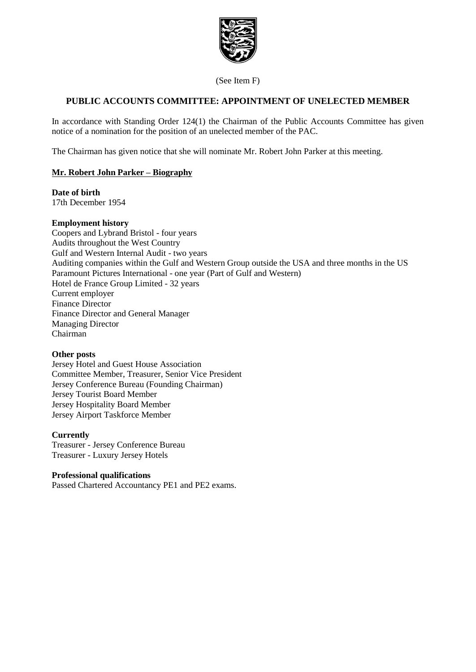

(See Item F)

## **PUBLIC ACCOUNTS COMMITTEE: APPOINTMENT OF UNELECTED MEMBER**

In accordance with Standing Order 124(1) the Chairman of the Public Accounts Committee has given notice of a nomination for the position of an unelected member of the PAC.

The Chairman has given notice that she will nominate Mr. Robert John Parker at this meeting.

### **Mr. Robert John Parker – Biography**

#### **Date of birth**

17th December 1954

#### **Employment history**

Coopers and Lybrand Bristol - four years Audits throughout the West Country Gulf and Western Internal Audit - two years Auditing companies within the Gulf and Western Group outside the USA and three months in the US Paramount Pictures International - one year (Part of Gulf and Western) Hotel de France Group Limited - 32 years Current employer Finance Director Finance Director and General Manager Managing Director Chairman

#### **Other posts**

Jersey Hotel and Guest House Association Committee Member, Treasurer, Senior Vice President Jersey Conference Bureau (Founding Chairman) Jersey Tourist Board Member Jersey Hospitality Board Member Jersey Airport Taskforce Member

#### **Currently**

Treasurer - Jersey Conference Bureau Treasurer - Luxury Jersey Hotels

#### **Professional qualifications**

Passed Chartered Accountancy PE1 and PE2 exams.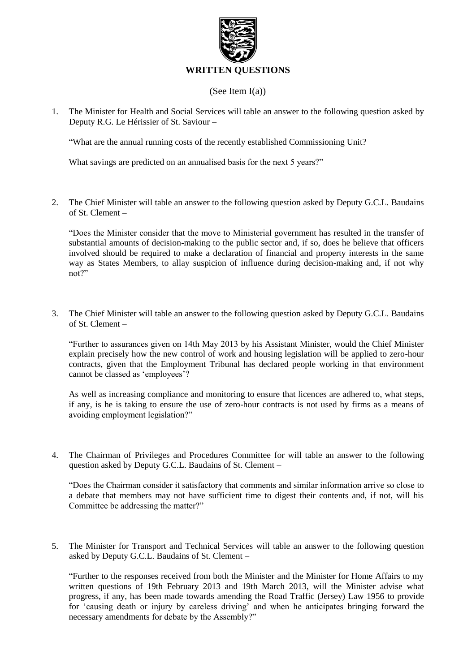

### (See Item I(a))

1. The Minister for Health and Social Services will table an answer to the following question asked by Deputy R.G. Le Hérissier of St. Saviour –

"What are the annual running costs of the recently established Commissioning Unit?

What savings are predicted on an annualised basis for the next 5 years?"

2. The Chief Minister will table an answer to the following question asked by Deputy G.C.L. Baudains of St. Clement –

"Does the Minister consider that the move to Ministerial government has resulted in the transfer of substantial amounts of decision-making to the public sector and, if so, does he believe that officers involved should be required to make a declaration of financial and property interests in the same way as States Members, to allay suspicion of influence during decision-making and, if not why not?"

3. The Chief Minister will table an answer to the following question asked by Deputy G.C.L. Baudains of St. Clement –

"Further to assurances given on 14th May 2013 by his Assistant Minister, would the Chief Minister explain precisely how the new control of work and housing legislation will be applied to zero-hour contracts, given that the Employment Tribunal has declared people working in that environment cannot be classed as 'employees'?

As well as increasing compliance and monitoring to ensure that licences are adhered to, what steps, if any, is he is taking to ensure the use of zero-hour contracts is not used by firms as a means of avoiding employment legislation?"

4. The Chairman of Privileges and Procedures Committee for will table an answer to the following question asked by Deputy G.C.L. Baudains of St. Clement –

"Does the Chairman consider it satisfactory that comments and similar information arrive so close to a debate that members may not have sufficient time to digest their contents and, if not, will his Committee be addressing the matter?"

5. The Minister for Transport and Technical Services will table an answer to the following question asked by Deputy G.C.L. Baudains of St. Clement –

"Further to the responses received from both the Minister and the Minister for Home Affairs to my written questions of 19th February 2013 and 19th March 2013, will the Minister advise what progress, if any, has been made towards amending the Road Traffic (Jersey) Law 1956 to provide for 'causing death or injury by careless driving' and when he anticipates bringing forward the necessary amendments for debate by the Assembly?"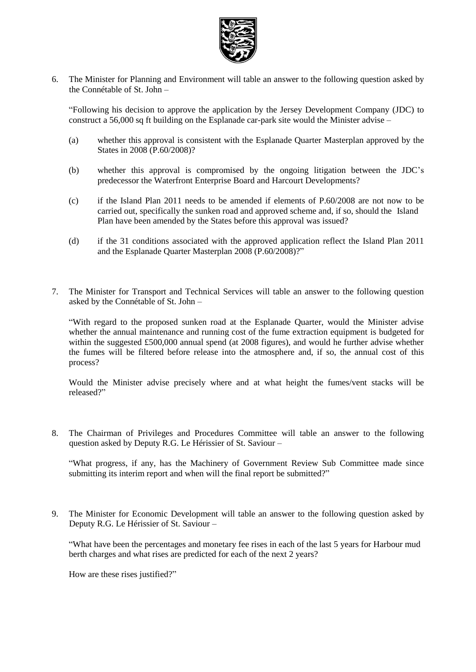

6. The Minister for Planning and Environment will table an answer to the following question asked by the Connétable of St. John –

"Following his decision to approve the application by the Jersey Development Company (JDC) to construct a 56,000 sq ft building on the Esplanade car-park site would the Minister advise –

- (a) whether this approval is consistent with the Esplanade Quarter Masterplan approved by the States in 2008 (P.60/2008)?
- (b) whether this approval is compromised by the ongoing litigation between the JDC's predecessor the Waterfront Enterprise Board and Harcourt Developments?
- (c) if the Island Plan 2011 needs to be amended if elements of P.60/2008 are not now to be carried out, specifically the sunken road and approved scheme and, if so, should the Island Plan have been amended by the States before this approval was issued?
- (d) if the 31 conditions associated with the approved application reflect the Island Plan 2011 and the Esplanade Quarter Masterplan 2008 (P.60/2008)?"
- 7. The Minister for Transport and Technical Services will table an answer to the following question asked by the Connétable of St. John –

"With regard to the proposed sunken road at the Esplanade Quarter, would the Minister advise whether the annual maintenance and running cost of the fume extraction equipment is budgeted for within the suggested £500,000 annual spend (at 2008 figures), and would he further advise whether the fumes will be filtered before release into the atmosphere and, if so, the annual cost of this process?

Would the Minister advise precisely where and at what height the fumes/vent stacks will be released?"

8. The Chairman of Privileges and Procedures Committee will table an answer to the following question asked by Deputy R.G. Le Hérissier of St. Saviour –

"What progress, if any, has the Machinery of Government Review Sub Committee made since submitting its interim report and when will the final report be submitted?"

9. The Minister for Economic Development will table an answer to the following question asked by Deputy R.G. Le Hérissier of St. Saviour –

"What have been the percentages and monetary fee rises in each of the last 5 years for Harbour mud berth charges and what rises are predicted for each of the next 2 years?

How are these rises justified?"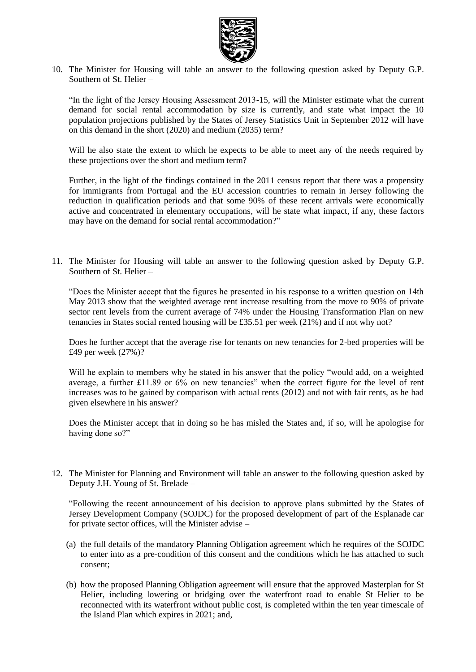

10. The Minister for Housing will table an answer to the following question asked by Deputy G.P. Southern of St. Helier –

"In the light of the Jersey Housing Assessment 2013-15, will the Minister estimate what the current demand for social rental accommodation by size is currently, and state what impact the 10 population projections published by the States of Jersey Statistics Unit in September 2012 will have on this demand in the short (2020) and medium (2035) term?

Will he also state the extent to which he expects to be able to meet any of the needs required by these projections over the short and medium term?

Further, in the light of the findings contained in the 2011 census report that there was a propensity for immigrants from Portugal and the EU accession countries to remain in Jersey following the reduction in qualification periods and that some 90% of these recent arrivals were economically active and concentrated in elementary occupations, will he state what impact, if any, these factors may have on the demand for social rental accommodation?"

11. The Minister for Housing will table an answer to the following question asked by Deputy G.P. Southern of St. Helier –

"Does the Minister accept that the figures he presented in his response to a written question on 14th May 2013 show that the weighted average rent increase resulting from the move to 90% of private sector rent levels from the current average of 74% under the Housing Transformation Plan on new tenancies in States social rented housing will be £35.51 per week (21%) and if not why not?

Does he further accept that the average rise for tenants on new tenancies for 2-bed properties will be £49 per week (27%)?

Will he explain to members why he stated in his answer that the policy "would add, on a weighted average, a further £11.89 or 6% on new tenancies" when the correct figure for the level of rent increases was to be gained by comparison with actual rents (2012) and not with fair rents, as he had given elsewhere in his answer?

Does the Minister accept that in doing so he has misled the States and, if so, will he apologise for having done so?"

12. The Minister for Planning and Environment will table an answer to the following question asked by Deputy J.H. Young of St. Brelade –

"Following the recent announcement of his decision to approve plans submitted by the States of Jersey Development Company (SOJDC) for the proposed development of part of the Esplanade car for private sector offices, will the Minister advise –

- (a) the full details of the mandatory Planning Obligation agreement which he requires of the SOJDC to enter into as a pre-condition of this consent and the conditions which he has attached to such consent;
- (b) how the proposed Planning Obligation agreement will ensure that the approved Masterplan for St Helier, including lowering or bridging over the waterfront road to enable St Helier to be reconnected with its waterfront without public cost, is completed within the ten year timescale of the Island Plan which expires in 2021; and,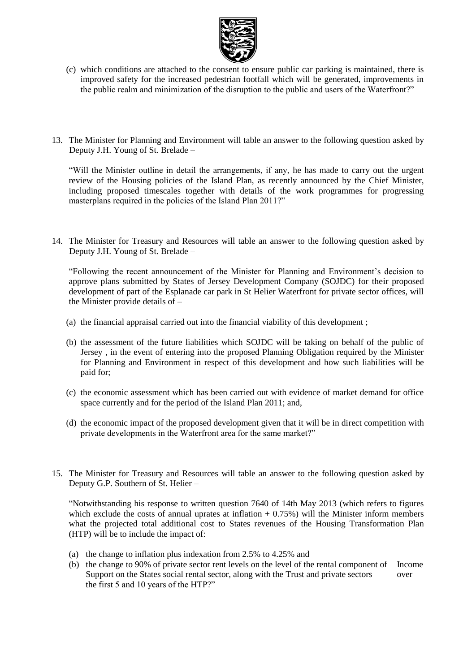

- (c) which conditions are attached to the consent to ensure public car parking is maintained, there is improved safety for the increased pedestrian footfall which will be generated, improvements in the public realm and minimization of the disruption to the public and users of the Waterfront?"
- 13. The Minister for Planning and Environment will table an answer to the following question asked by Deputy J.H. Young of St. Brelade –

"Will the Minister outline in detail the arrangements, if any, he has made to carry out the urgent review of the Housing policies of the Island Plan, as recently announced by the Chief Minister, including proposed timescales together with details of the work programmes for progressing masterplans required in the policies of the Island Plan 2011?"

14. The Minister for Treasury and Resources will table an answer to the following question asked by Deputy J.H. Young of St. Brelade –

"Following the recent announcement of the Minister for Planning and Environment's decision to approve plans submitted by States of Jersey Development Company (SOJDC) for their proposed development of part of the Esplanade car park in St Helier Waterfront for private sector offices, will the Minister provide details of –

- (a) the financial appraisal carried out into the financial viability of this development ;
- (b) the assessment of the future liabilities which SOJDC will be taking on behalf of the public of Jersey , in the event of entering into the proposed Planning Obligation required by the Minister for Planning and Environment in respect of this development and how such liabilities will be paid for;
- (c) the economic assessment which has been carried out with evidence of market demand for office space currently and for the period of the Island Plan 2011; and,
- (d) the economic impact of the proposed development given that it will be in direct competition with private developments in the Waterfront area for the same market?"
- 15. The Minister for Treasury and Resources will table an answer to the following question asked by Deputy G.P. Southern of St. Helier –

"Notwithstanding his response to written question 7640 of 14th May 2013 (which refers to figures which exclude the costs of annual uprates at inflation  $+ 0.75\%$ ) will the Minister inform members what the projected total additional cost to States revenues of the Housing Transformation Plan (HTP) will be to include the impact of:

- (a) the change to inflation plus indexation from 2.5% to 4.25% and
- (b) the change to 90% of private sector rent levels on the level of the rental component of Income Support on the States social rental sector, along with the Trust and private sectors over the first 5 and 10 years of the HTP?"